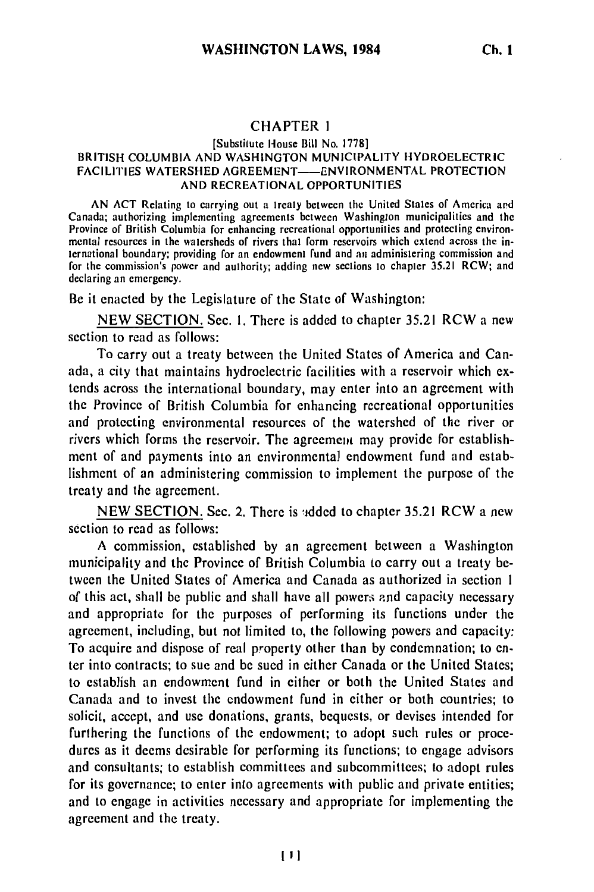## CHAPTER **1**

## [Substitute House Bill No. 1778] BRITISH COLUMBIA AND WASHINGTON MUNICIPALITY HYDROELECTRIC FACILITIES WATERSHED AGREEMENT-ENVIRONMENTAL PROTECTION AND RECREATIONAL OPPORTUNITIES

AN ACT Relating to carrying out a treaty between the United States **of** America ard Canada; authorizing implementing agreements between Washington municipalities and the Province of British Columbia for enhancing recreational opportunities and protecting environmental resources in the watersheds of rivers that form reservoirs which extend across the international boundary; providing for an endowment fund and an administering commission and for the commission's power and authority; adding new sections to chapter 35.21 RCW; and declaring an emergency.

Be it enacted by the Legislature of the State of Washington:

NEW SECTION. Sec. 1. There is added to chapter **35.21** RCW a new section to read as follows:

To carry out a treaty between the United States of America and Canada, a city that maintains hydroelectric facilities with a reservoir which extends across the international boundary, may enter into an agreement with the Province of British Columbia for enhancing recreational opportunities and protecting environmental resources of the watershed of the river or rivers which forms the reservoir. The agreement may provide for establishment of and payments into an environmental endowment fund and establishment of an administering commission to implement the purpose of the treaty and the agreement.

NEW SECTION. Sec. 2. There is added to chapter 35.21 RCW a new section to read as follows:

A commission, established by an agreement between a Washington municipality and the Province of British Columbia to carry out a treaty between the United States of America and Canada as authorized in section 1 of this act, shall be public and shall have all powers and capacity necessary and appropriate for the purposes of performing its functions under the agreement, including, but not limited to, the following powers and capacity: To acquire and dispose of real property other than by condemnation; to enter into contracts; to sue and be sued in either Canada or the United States; to establish an endowment fund in either or both the United States and Canada and to invest the endowment fund in either or both countries; to solicit, accept, and use donations, grants, bequests, or devises intended for furthering the functions of the endowment; to adopt such rules or procedures as it deems desirable for performing its functions; to engage advisors and consultants; to establish committees and subcommittees; to adopt rules for its governance; to enter into agreements with public and private entities; and to engage in activities necessary and appropriate for implementing the agreement and the treaty.